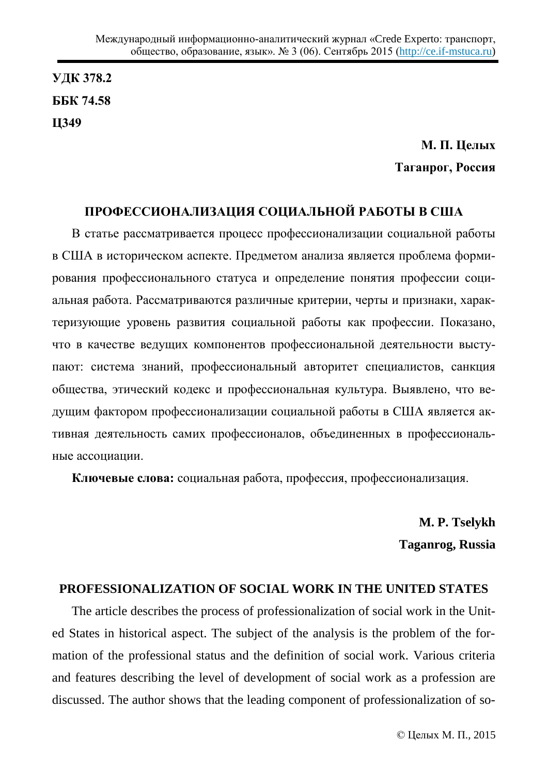**ɍȾɄ 378.2 ȻȻɄ 74.58 Ц349**

# М. П. Целых **Таганрог, Россия**

## ПРОФЕССИОНАЛИЗАЦИЯ СОЦИАЛЬНОЙ РАБОТЫ В США

В статье рассматривается процесс профессионализации социальной работы в США в историческом аспекте. Предметом анализа является проблема формирования профессионального статуса и определение понятия профессии социальная работа. Рассматриваются различные критерии, черты и признаки, характеризующие уровень развития социальной работы как профессии. Показано, что в качестве ведущих компонентов профессиональной деятельности выступают: система знаний, профессиональный авторитет специалистов, санкция общества, этический кодекс и профессиональная культура. Выявлено, что ведущим фактором профессионализации социальной работы в США является активная деятельность самих профессионалов, объединенных в профессиональные ассоциации.

**Ключевые слова:** социальная работа, профессия, профессионализация,

**M. P. Tselykh Taganrog, Russia** 

### **PROFESSIONALIZATION OF SOCIAL WORK IN THE UNITED STATES**

The article describes the process of professionalization of social work in the United States in historical aspect. The subject of the analysis is the problem of the formation of the professional status and the definition of social work. Various criteria and features describing the level of development of social work as a profession are discussed. The author shows that the leading component of professionalization of so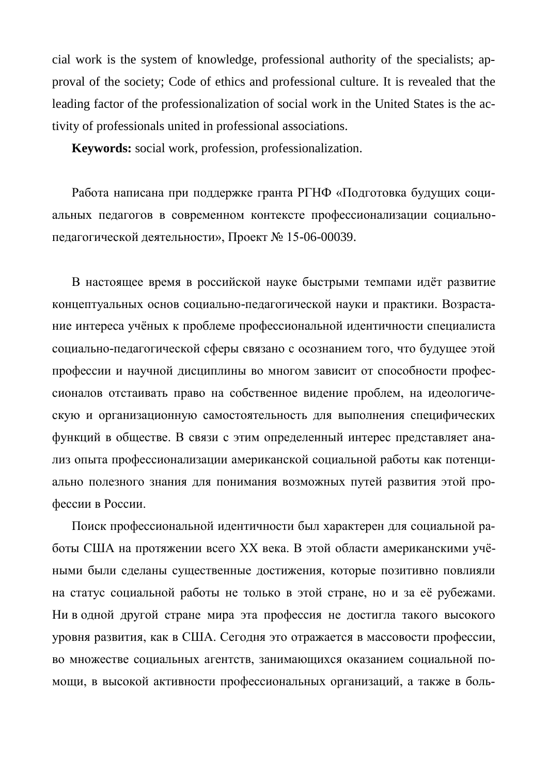cial work is the system of knowledge, professional authority of the specialists; approval of the society; Code of ethics and professional culture. It is revealed that the leading factor of the professionalization of social work in the United States is the activity of professionals united in professional associations.

**Keywords:** social work, profession, professionalization.

Работа написана при поддержке гранта РГНФ «Подготовка будущих социальных педагогов в современном контексте профессионализации социальнопедагогической деятельности», Проект № 15-06-00039.

В настоящее время в российской науке быстрыми темпами идёт развитие концептуальных основ социально-педагогической науки и практики. Возрастание интереса учёных к проблеме профессиональной идентичности специалиста социально-педагогической сферы связано с осознанием того, что будущее этой профессии и научной дисциплины во многом зависит от способности профессионалов отстаивать право на собственное видение проблем, на идеологическую и организационную самостоятельность для выполнения специфических функций в обществе. В связи с этим определенный интерес представляет анализ опыта профессионализации американской социальной работы как потенциально полезного знания для понимания возможных путей развития этой профессии в России.

Поиск профессиональной идентичности был характерен для социальной работы США на протяжении всего XX века. В этой области американскими учёными были сделаны существенные достижения, которые позитивно повлияли на статус социальной работы не только в этой стране, но и за её рубежами. Ни в одной другой стране мира эта профессия не достигла такого высокого уровня развития, как в США. Сегодня это отражается в массовости профессии, во множестве социальных агентств, занимающихся оказанием социальной помощи, в высокой активности профессиональных организаций, а также в боль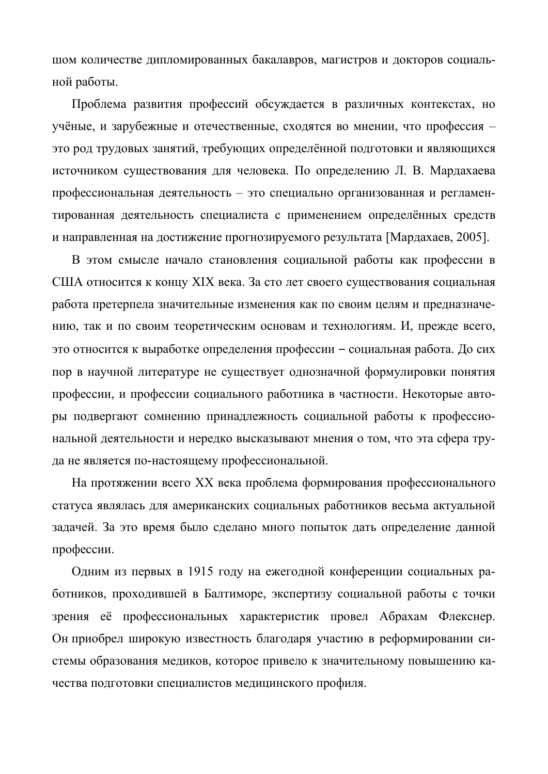шом количестве дипломированных бакалавров, магистров и докторов социальной работы.

Проблема развития профессий обсуждается в различных контекстах, но үчёные, и зарубежные и отечественные, сходятся во мнении, что профессия – это род трудовых занятий, требующих определённой подготовки и являющихся источником существования для человека. По определению Л. В. Мардахаева профессиональная деятельность – это специально организованная и регламентированная деятельность специалиста с применением определённых средств и направленная на достижение прогнозируемого результата [Мардахаев, 2005].

В этом смысле начало становления социальной работы как профессии в США относится к концу XIX века. За сто лет своего существования социальная работа претерпела значительные изменения как по своим целям и предназначению, так и по своим теоретическим основам и технологиям. И, прежде всего, это относится к выработке определения профессии – социальная работа. До сих пор в научной литературе не существует однозначной формулировки понятия профессии, и профессии социального работника в частности. Некоторые авторы подвергают сомнению принадлежность социальной работы к профессиональной деятельности и нередко высказывают мнения о том, что эта сфера труда не является по-настоящему профессиональной.

На протяжении всего XX века проблема формирования профессионального статуса являлась для американских социальных работников весьма актуальной задачей. За это время было сделано много попыток дать определение данной профессии.

Одним из первых в 1915 году на ежегодной конференции социальных работников, проходившей в Балтиморе, экспертизу социальной работы с точки зрения её профессиональных характеристик провел Абрахам Флекснер. Он приобрел широкую известность благодаря участию в реформировании системы образования медиков, которое привело к значительному повышению качества подготовки специалистов медицинского профиля.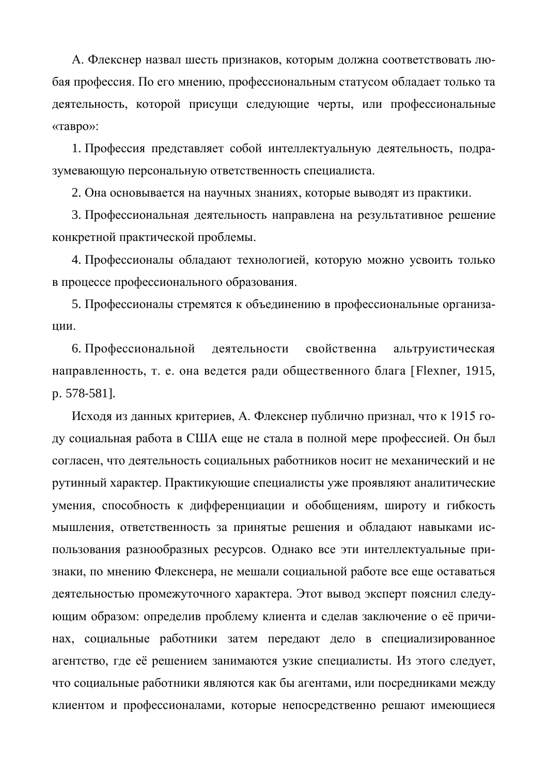А. Флекснер назвал шесть признаков, которым должна соответствовать любая профессия. По его мнению, профессиональным статусом обладает только та деятельность, которой присущи следующие черты, или профессиональные «тавро»:

1. Профессия представляет собой интеллектуальную деятельность, подразумевающую персональную ответственность специалиста.

2. Она основывается на научных знаниях, которые выводят из практики.

3. Профессиональная деятельность направлена на результативное решение конкретной практической проблемы.

4. Профессионалы обладают технологией, которую можно усвоить только в процессе профессионального образования.

5. Профессионалы стремятся к объединению в профессиональные организации.

6. Профессиональной деятельности свойственна альтруистическая направленность, т. е. она ведется ради общественного блага [Flexner, 1915, p. 578-581].

Исходя из данных критериев, А. Флекснер публично признал, что к 1915 году социальная работа в США еще не стала в полной мере профессией. Он был согласен, что деятельность социальных работников носит не механический и не рутинный характер. Практикующие специалисты уже проявляют аналитические умения, способность к дифференциации и обобщениям, широту и гибкость мышления, ответственность за принятые решения и обладают навыками использования разнообразных ресурсов. Однако все эти интеллектуальные признаки, по мнению Флекснера, не мешали социальной работе все еще оставаться деятельностью промежуточного характера. Этот вывод эксперт пояснил следующим образом: определив проблему клиента и сделав заключение о её причинах, социальные работники затем передают дело в специализированное агентство, где её решением занимаются узкие специалисты. Из этого следует, что социальные работники являются как бы агентами, или посредниками между клиентом и профессионалами, которые непосредственно решают имеющиеся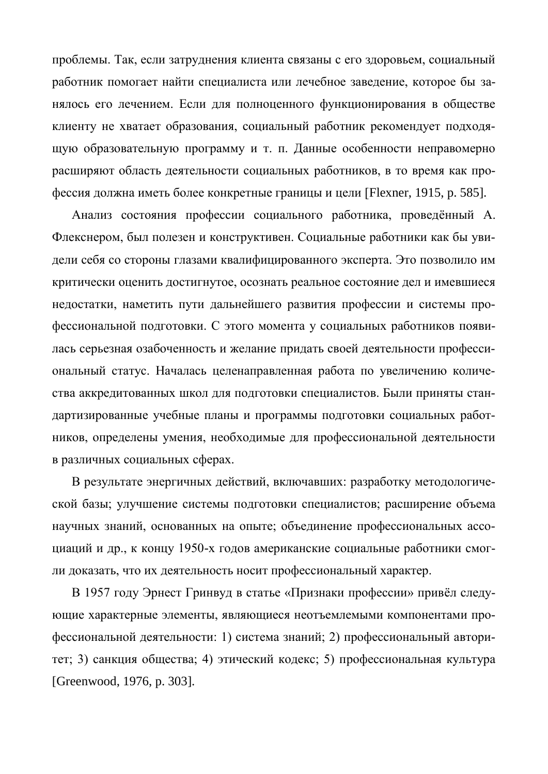проблемы. Так, если затруднения клиента связаны с его здоровьем, социальный работник помогает найти специалиста или лечебное заведение, которое бы занялось его лечением. Если для полноценного функционирования в обществе клиенту не хватает образования, социальный работник рекомендует подходящую образовательную программу и т. п. Данные особенности неправомерно расширяют область деятельности социальных работников, в то время как профессия должна иметь более конкретные границы и цели [Flexner, 1915, p. 585].

Анализ состояния профессии социального работника, проведённый А. Флекснером, был полезен и конструктивен. Социальные работники как бы увидели себя со стороны глазами квалифицированного эксперта. Это позволило им критически оценить достигнутое, осознать реальное состояние дел и имевшиеся недостатки, наметить пути дальнейшего развития профессии и системы профессиональной подготовки. С этого момента у социальных работников появилась серьезная озабоченность и желание придать своей деятельности профессиональный статус. Началась целенаправленная работа по увеличению количества аккредитованных школ для подготовки специалистов. Были приняты стандартизированные учебные планы и программы подготовки социальных работников, определены умения, необходимые для профессиональной деятельности в различных социальных сферах.

В результате энергичных действий, включавших: разработку методологической базы; улучшение системы подготовки специалистов; расширение объема научных знаний, основанных на опыте; объединение профессиональных ассоциаций и др., к концу 1950-х годов американские социальные работники смогли доказать, что их деятельность носит профессиональный характер.

В 1957 году Эрнест Гринвуд в статье «Признаки профессии» привёл следующие характерные элементы, являющиеся неотъемлемыми компонентами профессиональной деятельности: 1) система знаний; 2) профессиональный авторитет; 3) санкция общества; 4) этический кодекс; 5) профессиональная культура [Greenwood, 1976, p. 303].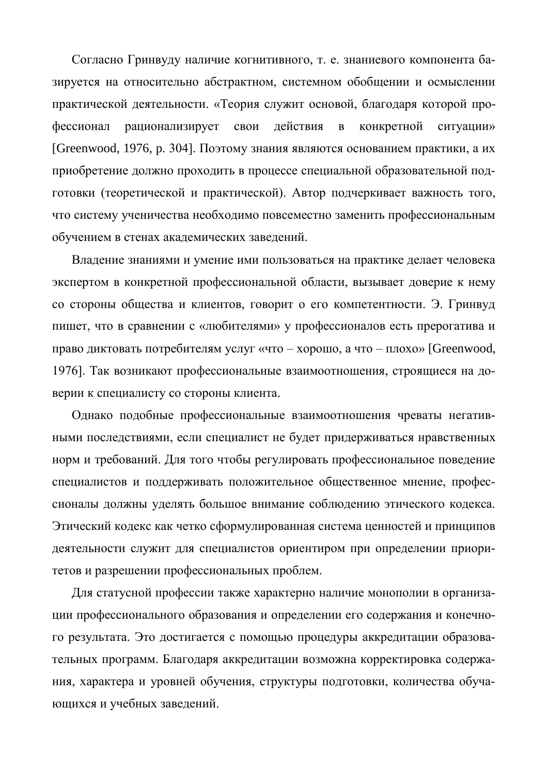Согласно Гринвуду наличие когнитивного, т. е. знаниевого компонента базируется на относительно абстрактном, системном обобщении и осмыслении практической деятельности. «Теория служит основой, благодаря которой профессионал рационализирует свои действия в конкретной ситуации» [Greenwood, 1976, р. 304]. Поэтому знания являются основанием практики, а их приобретение должно проходить в процессе специальной образовательной подготовки (теоретической и практической). Автор подчеркивает важность того, что систему ученичества необходимо повсеместно заменить профессиональным обучением в стенах академических заведений.

Владение знаниями и умение ими пользоваться на практике делает человека экспертом в конкретной профессиональной области, вызывает доверие к нему со стороны общества и клиентов, говорит о его компетентности. Э. Гринвуд пишет, что в сравнении с «любителями» у профессионалов есть прерогатива и право диктовать потребителям услуг «что – хорошо, а что – плохо» [Greenwood, 1976]. Так возникают профессиональные взаимоотношения, строящиеся на доверии к специалисту со стороны клиента.

Однако подобные профессиональные взаимоотношения чреваты негативными последствиями, если специалист не будет придерживаться нравственных норм и требований. Для того чтобы регулировать профессиональное поведение специалистов и поддерживать положительное общественное мнение, профессионалы должны уделять большое внимание соблюдению этического кодекса. Этический кодекс как четко сформулированная система ценностей и принципов деятельности служит для специалистов ориентиром при определении приоритетов и разрешении профессиональных проблем.

Для статусной профессии также характерно наличие монополии в организации профессионального образования и определении его содержания и конечного результата. Это достигается с помощью процедуры аккредитации образовательных программ. Благодаря аккредитации возможна корректировка содержания, характера и уровней обучения, структуры подготовки, количества обучающихся и учебных заведений.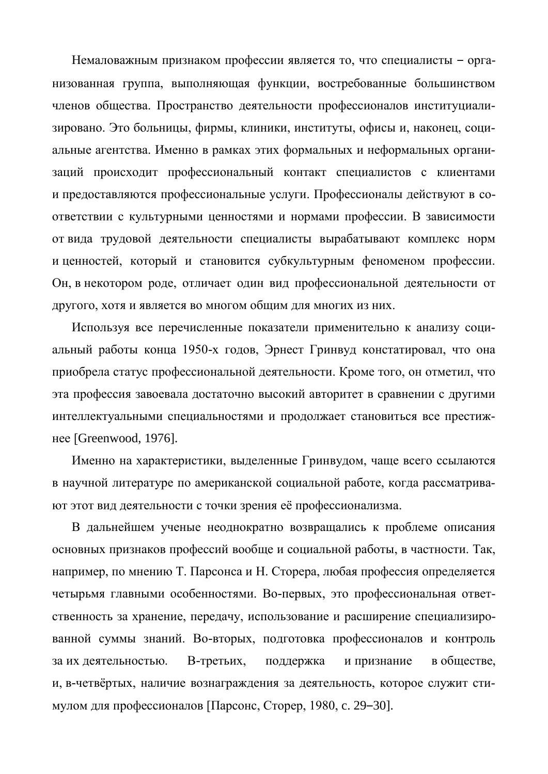Немаловажным признаком профессии является то, что специалисты – организованная группа, выполняющая функции, востребованные большинством членов общества. Пространство деятельности профессионалов институциализировано. Это больницы, фирмы, клиники, институты, офисы и, наконец, социальные агентства. Именно в рамках этих формальных и неформальных организаций происходит профессиональный контакт специалистов с клиентами и предоставляются профессиональные услуги. Профессионалы действуют в соответствии с культурными ценностями и нормами профессии. В зависимости от вида трудовой деятельности специалисты вырабатывают комплекс норм и ценностей, который и становится субкультурным феноменом профессии. Он, в некотором роде, отличает один вид профессиональной деятельности от другого, хотя и является во многом общим для многих из них.

Используя все перечисленные показатели применительно к анализу социальный работы конца 1950-х годов, Эрнест Гринвуд констатировал, что она приобрела статус профессиональной деятельности. Кроме того, он отметил, что эта профессия завоевала достаточно высокий авторитет в сравнении с другими интеллектуальными специальностями и продолжает становиться все престижнее [Greenwood, 1976].

Именно на характеристики, выделенные Гринвудом, чаще всего ссылаются в научной литературе по американской социальной работе, когда рассматривают этот вид деятельности с точки зрения её профессионализма.

В дальнейшем ученые неоднократно возвращались к проблеме описания основных признаков профессий вообще и социальной работы, в частности. Так, например, по мнению Т. Парсонса и Н. Сторера, любая профессия определяется четырьмя главными особенностями. Во-первых, это профессиональная ответственность за хранение, передачу, использование и расширение специализированной суммы знаний. Во-вторых, подготовка профессионалов и контроль за их деятельностью. В-третьих, поддержка и признание в обществе, и, в-четвёртых, наличие вознаграждения за деятельность, которое служит стимулом для профессионалов [Парсонс, Сторер, 1980, с. 29–30].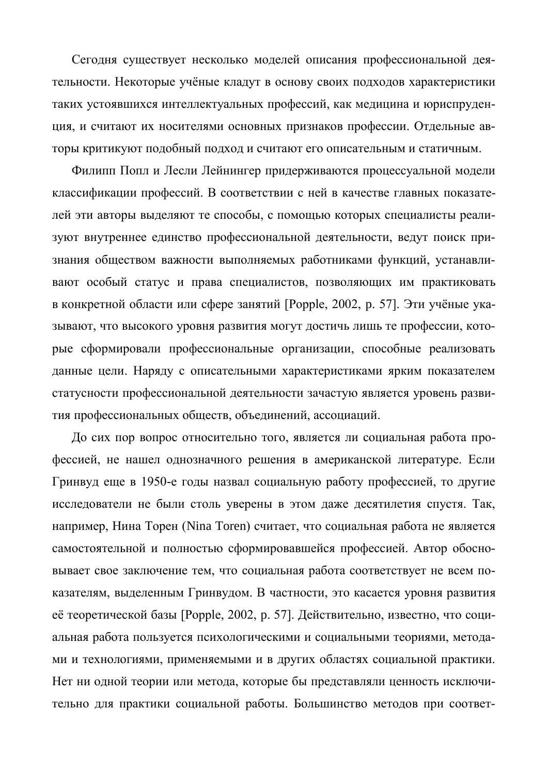Сегодня существует несколько моделей описания профессиональной деятельности. Некоторые учёные кладут в основу своих подходов характеристики таких устоявшихся интеллектуальных профессий, как медицина и юриспруденция, и считают их носителями основных признаков профессии. Отдельные авторы критикуют подобный подход и считают его описательным и статичным.

Филипп Попл и Лесли Лейнингер придерживаются процессуальной модели классификации профессий. В соответствии с ней в качестве главных показателей эти авторы выделяют те способы, с помощью которых специалисты реализуют внутреннее единство профессиональной деятельности, ведут поиск признания обществом важности выполняемых работниками функций, устанавливают особый статус и права специалистов, позволяющих им практиковать в конкретной области или сфере занятий [Popple, 2002, р. 57]. Эти учёные указывают, что высокого уровня развития могут достичь лишь те профессии, которые сформировали профессиональные организации, способные реализовать данные цели. Наряду с описательными характеристиками ярким показателем статусности профессиональной деятельности зачастую является уровень развития профессиональных обществ, объединений, ассоциаций.

До сих пор вопрос относительно того, является ли социальная работа профессией, не нашел однозначного решения в американской литературе. Если Гринвуд еще в 1950-е годы назвал социальную работу профессией, то другие исследователи не были столь уверены в этом даже десятилетия спустя. Так, например, Нина Торен (Nina Toren) считает, что социальная работа не является самостоятельной и полностью сформировавшейся профессией. Автор обосновывает свое заключение тем, что социальная работа соответствует не всем показателям, выделенным Гринвудом. В частности, это касается уровня развития её теоретической базы [Popple, 2002, р. 57]. Действительно, известно, что социальная работа пользуется психологическими и социальными теориями, методами и технологиями, применяемыми и в других областях социальной практики. Нет ни одной теории или метода, которые бы представляли ценность исключительно для практики социальной работы. Большинство методов при соответ-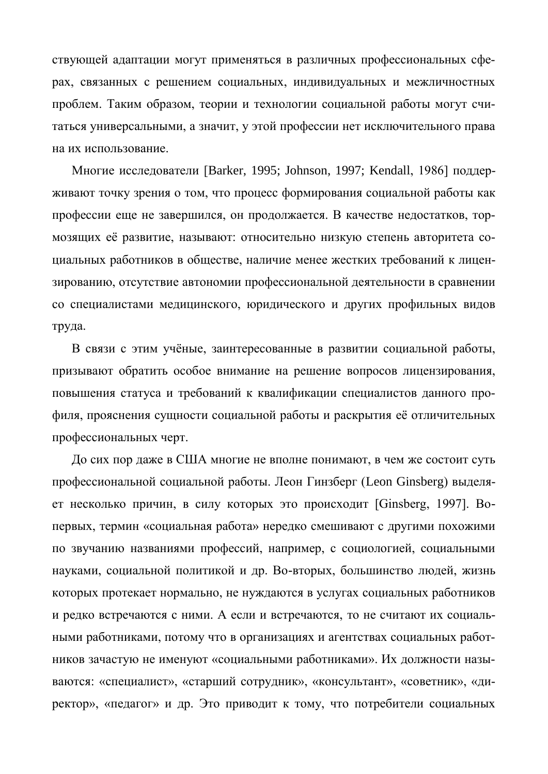ствующей адаптации могут применяться в различных профессиональных сферах, связанных с решением социальных, индивидуальных и межличностных проблем. Таким образом, теории и технологии социальной работы могут считаться универсальными, а значит, у этой профессии нет исключительного права на их использование.

Многие исследователи [Barker, 1995; Johnson, 1997; Kendall, 1986] поддерживают точку зрения о том, что процесс формирования социальной работы как профессии еще не завершился, он продолжается. В качестве недостатков, тормозящих её развитие, называют: относительно низкую степень авторитета социальных работников в обществе, наличие менее жестких требований к лицензированию, отсутствие автономии профессиональной деятельности в сравнении со специалистами медицинского, юридического и других профильных видов труда.

В связи с этим учёные, заинтересованные в развитии социальной работы, призывают обратить особое внимание на решение вопросов лицензирования, повышения статуса и требований к квалификации специалистов данного профиля, прояснения сущности социальной работы и раскрытия её отличительных профессиональных черт.

До сих пор даже в США многие не вполне понимают, в чем же состоит суть профессиональной социальной работы. Леон Гинзберг (Leon Ginsberg) выделяет несколько причин, в силу которых это происходит [Ginsberg, 1997]. Вопервых, термин «социальная работа» нередко смешивают с другими похожими по звучанию названиями профессий, например, с социологией, социальными науками, социальной политикой и др. Во-вторых, большинство людей, жизнь которых протекает нормально, не нуждаются в услугах социальных работников и редко встречаются с ними. А если и встречаются, то не считают их социальными работниками, потому что в организациях и агентствах социальных работников зачастую не именуют «социальными работниками». Их должности называются: «специалист», «старший сотрудник», «консультант», «советник», «директор», «педагог» и др. Это приводит к тому, что потребители социальных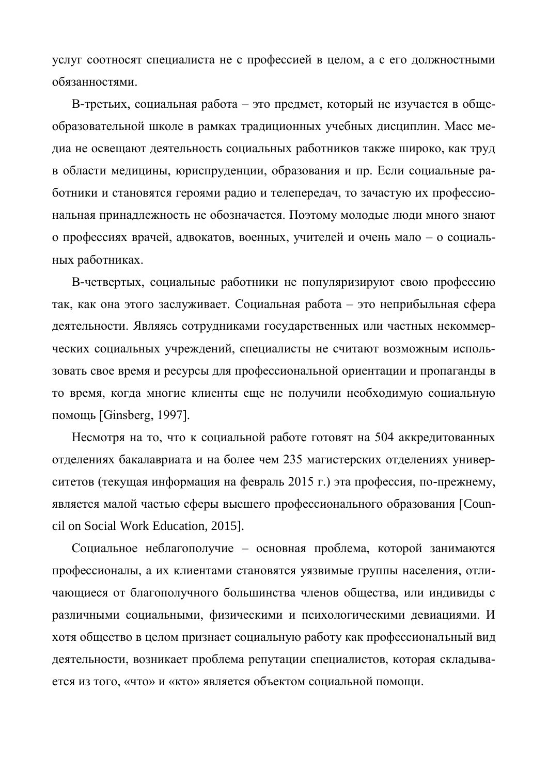үслуг соотносят специалиста не с профессией в целом, а с его должностными обязанностями.

В-третьих, социальная работа – это предмет, который не изучается в общеобразовательной школе в рамках традиционных учебных дисциплин. Масс медиа не освещают деятельность социальных работников также широко, как труд в области медицины, юриспруденции, образования и пр. Если социальные работники и становятся героями радио и телепередач, то зачастую их профессиональная принадлежность не обозначается. Поэтому молодые люди много знают о профессиях врачей, адвокатов, военных, учителей и очень мало – о социальных работниках.

В-четвертых, социальные работники не популяризируют свою профессию так, как она этого заслуживает. Социальная работа – это неприбыльная сфера деятельности. Являясь сотрудниками государственных или частных некоммерческих социальных учреждений, специалисты не считают возможным использовать свое время и ресурсы для профессиональной ориентации и пропаганды в то время, когда многие клиенты еще не получили необходимую социальную помощь [Ginsberg, 1997].

Несмотря на то, что к социальной работе готовят на 504 аккредитованных отделениях бакалавриата и на более чем 235 магистерских отделениях университетов (текущая информация на февраль 2015 г.) эта профессия, по-прежнему, является малой частью сферы высшего профессионального образования [Council on Social Work Education, 2015].

Социальное неблагополучие – основная проблема, которой занимаются профессионалы, а их клиентами становятся уязвимые группы населения, отличающиеся от благополучного большинства членов общества, или индивиды с различными социальными, физическими и психологическими девиациями. И хотя общество в целом признает социальную работу как профессиональный вид деятельности, возникает проблема репутации специалистов, которая складывается из того, «что» и «кто» является объектом социальной помощи.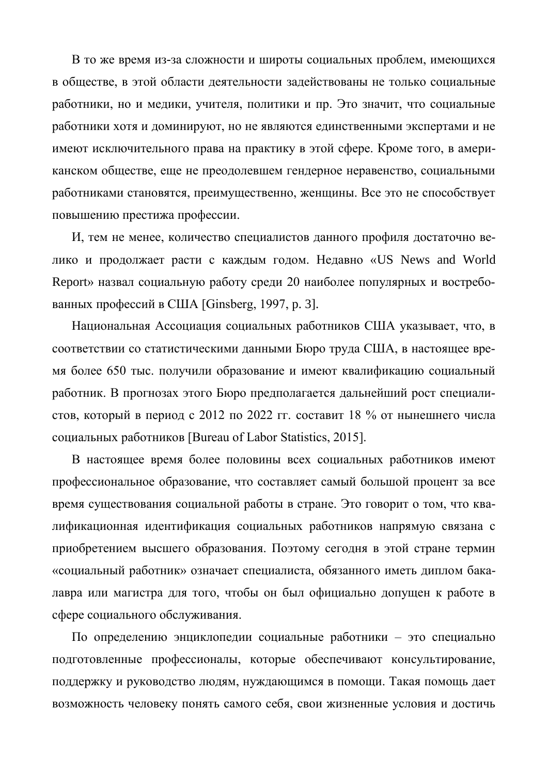В то же время из-за сложности и широты социальных проблем, имеющихся в обществе, в этой области деятельности задействованы не только социальные работники, но и медики, учителя, политики и пр. Это значит, что социальные работники хотя и доминируют, но не являются единственными экспертами и не имеют исключительного права на практику в этой сфере. Кроме того, в американском обществе, еще не преодолевшем гендерное неравенство, социальными работниками становятся, преимущественно, женщины. Все это не способствует повышению престижа профессии.

И, тем не менее, количество специалистов данного профиля достаточно велико и продолжает расти с каждым годом. Недавно «US News and World Report» назвал социальную работу среди 20 наиболее популярных и востребованных профессий в США [Ginsberg, 1997, p. 3].

Национальная Ассоциация социальных работников США указывает, что, в соответствии со статистическими данными Бюро труда США, в настоящее время более 650 тыс. получили образование и имеют квалификацию социальный работник. В прогнозах этого Бюро предполагается дальнейший рост специалистов, который в период с 2012 по 2022 гг. составит 18 % от нынешнего числа cоциальных работников [Bureau of Labor Statistics, 2015].

В настоящее время более половины всех социальных работников имеют профессиональное образование, что составляет самый большой процент за все время существования социальной работы в стране. Это говорит о том, что квалификационная идентификация социальных работников напрямую связана с приобретением высшего образования. Поэтому сегодня в этой стране термин «социальный работник» означает специалиста, обязанного иметь диплом бакалавра или магистра для того, чтобы он был официально допущен к работе в сфере социального обслуживания.

По определению энциклопедии социальные работники – это специально подготовленные профессионалы, которые обеспечивают консультирование, поддержку и руководство людям, нуждающимся в помощи. Такая помощь дает возможность человеку понять самого себя, свои жизненные условия и достичь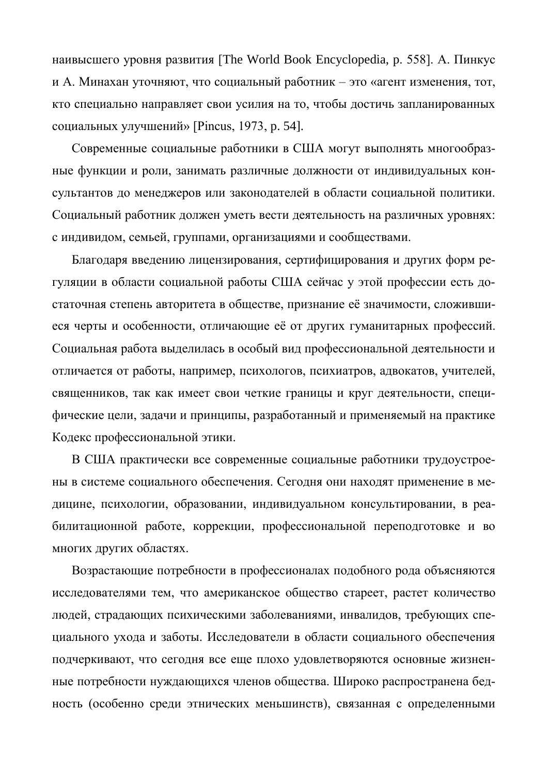наивысшего уровня развития [The World Book Encyclopedia, р. 558]. А. Пинкус и А. Минахан уточняют, что социальный работник – это «агент изменения, тот, кто специально направляет свои усилия на то, чтобы достичь запланированных социальных улучшений» [Pincus, 1973, p. 54].

Современные социальные работники в США могут выполнять многообразные функции и роли, занимать различные должности от индивидуальных консультантов до менеджеров или законодателей в области социальной политики. Социальный работник должен уметь вести деятельность на различных уровнях: с индивидом, семьей, группами, организациями и сообществами.

Благодаря введению лицензирования, сертифицирования и других форм регуляции в области социальной работы США сейчас у этой профессии есть достаточная степень авторитета в обществе, признание её значимости, сложившиеся черты и особенности, отличающие её от других гуманитарных профессий. Социальная работа выделилась в особый вид профессиональной деятельности и отличается от работы, например, психологов, психиатров, адвокатов, учителей, священников, так как имеет свои четкие границы и круг деятельности, специфические цели, задачи и принципы, разработанный и применяемый на практике Кодекс профессиональной этики.

В США практически все современные социальные работники трудоустроены в системе социального обеспечения. Сегодня они находят применение в медицине, психологии, образовании, индивидуальном консультировании, в реабилитационной работе, коррекции, профессиональной переподготовке и во многих других областях.

Возрастающие потребности в профессионалах подобного рода объясняются исследователями тем, что американское общество стареет, растет количество людей, страдающих психическими заболеваниями, инвалидов, требующих специального ухода и заботы. Исследователи в области социального обеспечения подчеркивают, что сегодня все еще плохо удовлетворяются основные жизненные потребности нуждающихся членов общества. Широко распространена бедность (особенно среди этнических меньшинств), связанная с определенными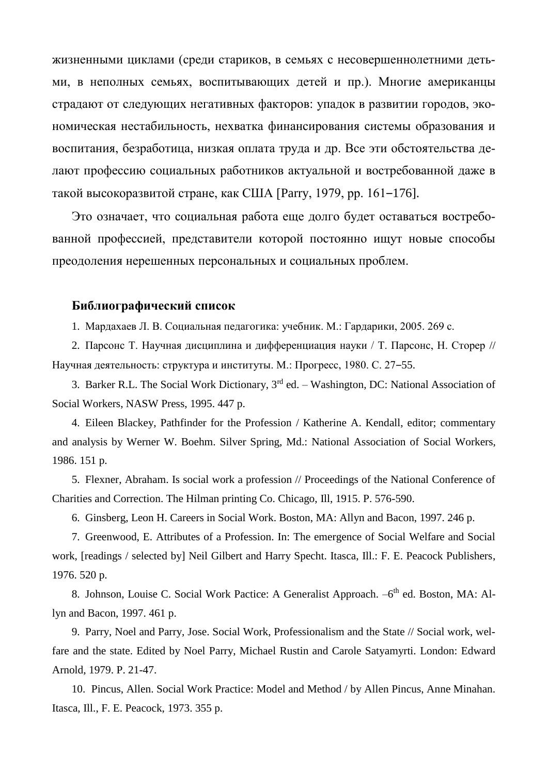жизненными циклами (среди стариков, в семьях с несовершеннолетними детьми, в неполных семьях, воспитывающих детей и пр.). Многие американцы страдают от следующих негативных факторов: упадок в развитии городов, экономическая нестабильность, нехватка финансирования системы образования и воспитания, безработица, низкая оплата труда и др. Все эти обстоятельства делают профессию социальных работников актуальной и востребованной даже в такой высокоразвитой стране, как США [Parry, 1979, pp. 161–176].

Это означает, что социальная работа еще долго будет оставаться востребованной профессией, представители которой постоянно ищут новые способы преодоления нерешенных персональных и социальных проблем.

### **Библиографический список**

1. Мардахаев Л. В. Социальная педагогика: учебник. М.: Гардарики, 2005. 269 с.

2. Парсонс Т. Научная дисциплина и дифференциация науки / Т. Парсонс, Н. Сторер // Научная деятельность: структура и институты. М.: Прогресс, 1980. С. 27–55.

3. Barker R.L. The Social Work Dictionary,  $3<sup>rd</sup>$  ed. – Washington, DC: National Association of Social Workers, NASW Press, 1995. 447 p.

4. Eileen Blackey, Pathfinder for the Profession / Katherine A. Kendall, editor; commentary and analysis by Werner W. Boehm. Silver Spring, Md.: National Association of Social Workers, 1986. 151 p.

5. Flexner, Abraham. Is social work a profession // Proceedings of the National Conference of Charities and Correction. The Hilman printing Co. Chicago, Ill, 1915. P. 576-590.

6. [Ginsberg, Leon H.](http://www.franklin.library.upenn.edu/cgi-bin/Pwebrecon.cgi?SC=Author&SEQ=20040922154852&PID=14765&SA=Ginsberg,+Leon+H.) Careers in Social Work. Boston, MA: Allyn and Bacon, 1997. 246 p.

7. Greenwood, E. Attributes of a Profession. In: The emergence of Social Welfare and Social work, [readings / selected by] Neil Gilbert and Harry Specht. Itasca, Ill.: F. E. Peacock Publishers, 1976. 520 p.

8. Johnson, Louise C. Social Work Pactice: A Generalist Approach. -6<sup>th</sup> ed. Boston, MA: Allyn and Bacon, 1997. 461 p.

9. Parry, Noel and Parry, Jose. Social Work, Professionalism and the State // Social work, welfare and the state. Edited by Noel Parry, Michael Rustin and Carole Satyamyrti. London: Edward Arnold, 1979. P. 21-47.

10. [Pincus, Allen.](http://www.franklin.library.upenn.edu/cgi-bin/Pwebrecon.cgi?SC=Author&SEQ=20040924160645&PID=14241&SA=Pincus,+Allen.) Social Work Practice: Model and Method / by Allen Pincus, Anne Minahan. Itasca, Ill., F. E. Peacock, 1973. 355 p.